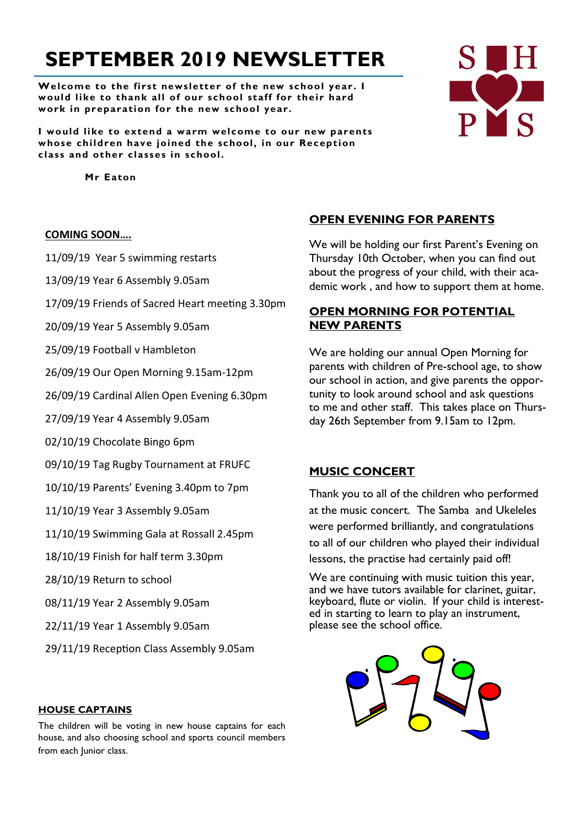# **SEPTEMBER 2019 NEWSLETTER**

**Welcome to the first newsletter of the new school year. I would like to thank all of our school staff for their hard work in preparation for the new school year.**

**I would like to extend a warm welcome to our new parents whose children have joined the school, in our Reception class and other classes in school.**

 **Mr Eaton**

#### **COMING SOON….**

11/09/19 Year 5 swimming restarts

13/09/19 Year 6 Assembly 9.05am

17/09/19 Friends of Sacred Heart meeting 3.30pm

20/09/19 Year 5 Assembly 9.05am

25/09/19 Football v Hambleton

26/09/19 Our Open Morning 9.15am-12pm

26/09/19 Cardinal Allen Open Evening 6.30pm

27/09/19 Year 4 Assembly 9.05am

02/10/19 Chocolate Bingo 6pm

09/10/19 Tag Rugby Tournament at FRUFC

10/10/19 Parents' Evening 3.40pm to 7pm

11/10/19 Year 3 Assembly 9.05am

11/10/19 Swimming Gala at Rossall 2.45pm

18/10/19 Finish for half term 3.30pm

28/10/19 Return to school

08/11/19 Year 2 Assembly 9.05am

22/11/19 Year 1 Assembly 9.05am

29/11/19 Reception Class Assembly 9.05am

#### **HOUSE CAPTAINS**

The children will be voting in new house captains for each house, and also choosing school and sports council members from each Junior class.

# **OPEN EVENING FOR PARENTS**

We will be holding our first Parent's Evening on Thursday 10th October, when you can find out about the progress of your child, with their academic work , and how to support them at home.

# **OPEN MORNING FOR POTENTIAL NEW PARENTS**

We are holding our annual Open Morning for parents with children of Pre-school age, to show our school in action, and give parents the opportunity to look around school and ask questions to me and other staff. This takes place on Thursday 26th September from 9.15am to 12pm.

# **MUSIC CONCERT**

Thank you to all of the children who performed at the music concert. The Samba and Ukeleles were performed brilliantly, and congratulations to all of our children who played their individual lessons, the practise had certainly paid off!

We are continuing with music tuition this year, and we have tutors available for clarinet, guitar, keyboard, flute or violin. If your child is interested in starting to learn to play an instrument, please see the school office.



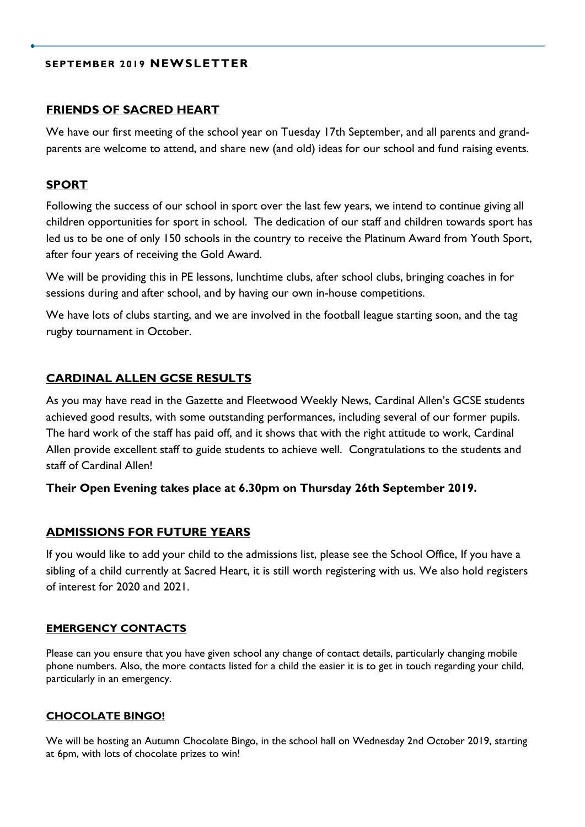## **SEPTEMBER 2019 NEWSLETTER**

#### **FRIENDS OF SACRED HEART**

We have our first meeting of the school year on Tuesday 17th September, and all parents and grandparents are welcome to attend, and share new (and old) ideas for our school and fund raising events.

## **SPORT**

Following the success of our school in sport over the last few years, we intend to continue giving all children opportunities for sport in school. The dedication of our staff and children towards sport has led us to be one of only 150 schools in the country to receive the Platinum Award from Youth Sport, after four years of receiving the Gold Award.

We will be providing this in PE lessons, lunchtime clubs, after school clubs, bringing coaches in for sessions during and after school, and by having our own in-house competitions.

We have lots of clubs starting, and we are involved in the football league starting soon, and the tag rugby tournament in October.

## **CARDINAL ALLEN GCSE RESULTS**

As you may have read in the Gazette and Fleetwood Weekly News, Cardinal Allen's GCSE students achieved good results, with some outstanding performances, including several of our former pupils. The hard work of the staff has paid off, and it shows that with the right attitude to work, Cardinal Allen provide excellent staff to guide students to achieve well. Congratulations to the students and staff of Cardinal Allen!

## **Their Open Evening takes place at 6.30pm on Thursday 26th September 2019.**

## **ADMISSIONS FOR FUTURE YEARS**

If you would like to add your child to the admissions list, please see the School Office, If you have a sibling of a child currently at Sacred Heart, it is still worth registering with us. We also hold registers of interest for 2020 and 2021.

#### **EMERGENCY CONTACTS**

Please can you ensure that you have given school any change of contact details, particularly changing mobile phone numbers. Also, the more contacts listed for a child the easier it is to get in touch regarding your child, particularly in an emergency.

#### **CHOCOLATE BINGO!**

We will be hosting an Autumn Chocolate Bingo, in the school hall on Wednesday 2nd October 2019, starting at 6pm, with lots of chocolate prizes to win!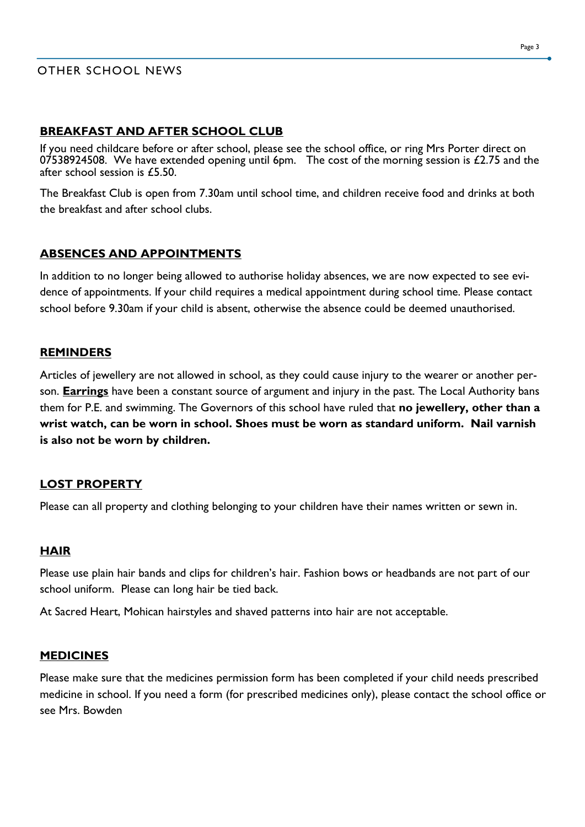# OTHER SCHOOL NEWS

# **BREAKFAST AND AFTER SCHOOL CLUB**

If you need childcare before or after school, please see the school office, or ring Mrs Porter direct on 07538924508. We have extended opening until 6pm. The cost of the morning session is  $£2.75$  and the after school session is £5.50.

The Breakfast Club is open from 7.30am until school time, and children receive food and drinks at both the breakfast and after school clubs.

# **ABSENCES AND APPOINTMENTS**

In addition to no longer being allowed to authorise holiday absences, we are now expected to see evidence of appointments. If your child requires a medical appointment during school time. Please contact school before 9.30am if your child is absent, otherwise the absence could be deemed unauthorised.

# **REMINDERS**

Articles of jewellery are not allowed in school, as they could cause injury to the wearer or another person. **Earrings** have been a constant source of argument and injury in the past. The Local Authority bans them for P.E. and swimming. The Governors of this school have ruled that **no jewellery, other than a wrist watch, can be worn in school. Shoes must be worn as standard uniform. Nail varnish is also not be worn by children.**

## **LOST PROPERTY**

Please can all property and clothing belonging to your children have their names written or sewn in.

## **HAIR**

Please use plain hair bands and clips for children's hair. Fashion bows or headbands are not part of our school uniform. Please can long hair be tied back.

At Sacred Heart, Mohican hairstyles and shaved patterns into hair are not acceptable.

## **MEDICINES**

Please make sure that the medicines permission form has been completed if your child needs prescribed medicine in school. If you need a form (for prescribed medicines only), please contact the school office or see Mrs. Bowden